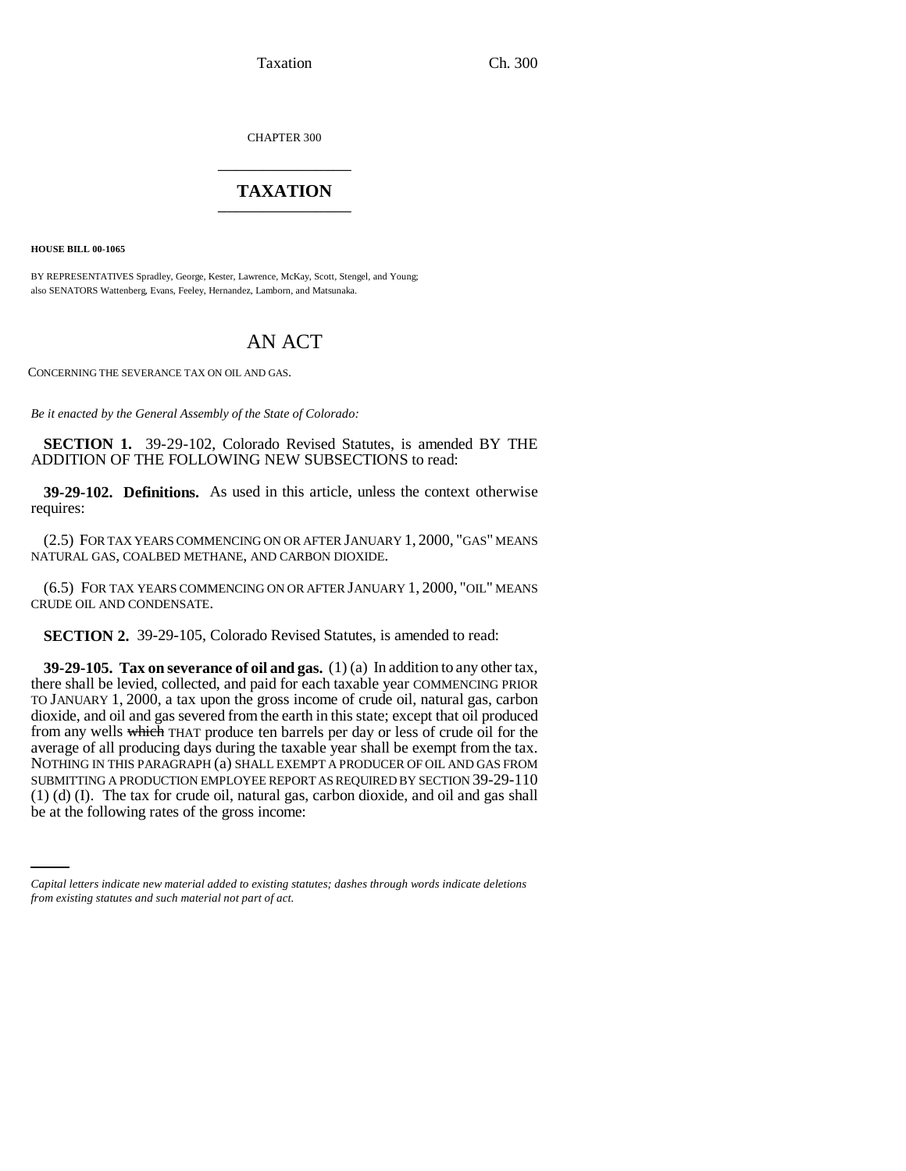Taxation Ch. 300

CHAPTER 300 \_\_\_\_\_\_\_\_\_\_\_\_\_\_\_

## **TAXATION** \_\_\_\_\_\_\_\_\_\_\_\_\_\_\_

**HOUSE BILL 00-1065** 

BY REPRESENTATIVES Spradley, George, Kester, Lawrence, McKay, Scott, Stengel, and Young; also SENATORS Wattenberg, Evans, Feeley, Hernandez, Lamborn, and Matsunaka.

## AN ACT

CONCERNING THE SEVERANCE TAX ON OIL AND GAS.

*Be it enacted by the General Assembly of the State of Colorado:*

**SECTION 1.** 39-29-102, Colorado Revised Statutes, is amended BY THE ADDITION OF THE FOLLOWING NEW SUBSECTIONS to read:

**39-29-102. Definitions.** As used in this article, unless the context otherwise requires:

(2.5) FOR TAX YEARS COMMENCING ON OR AFTER JANUARY 1, 2000, "GAS" MEANS NATURAL GAS, COALBED METHANE, AND CARBON DIOXIDE.

(6.5) FOR TAX YEARS COMMENCING ON OR AFTER JANUARY 1, 2000, "OIL" MEANS CRUDE OIL AND CONDENSATE.

**SECTION 2.** 39-29-105, Colorado Revised Statutes, is amended to read:

(1) (d) (I). The tax for crude oil, natural gas, carbon dioxide, and oil and gas shall **39-29-105. Tax on severance of oil and gas.** (1) (a) In addition to any other tax, there shall be levied, collected, and paid for each taxable year COMMENCING PRIOR TO JANUARY 1, 2000, a tax upon the gross income of crude oil, natural gas, carbon dioxide, and oil and gas severed from the earth in this state; except that oil produced from any wells which THAT produce ten barrels per day or less of crude oil for the average of all producing days during the taxable year shall be exempt from the tax. NOTHING IN THIS PARAGRAPH (a) SHALL EXEMPT A PRODUCER OF OIL AND GAS FROM SUBMITTING A PRODUCTION EMPLOYEE REPORT AS REQUIRED BY SECTION 39-29-110 be at the following rates of the gross income:

*Capital letters indicate new material added to existing statutes; dashes through words indicate deletions from existing statutes and such material not part of act.*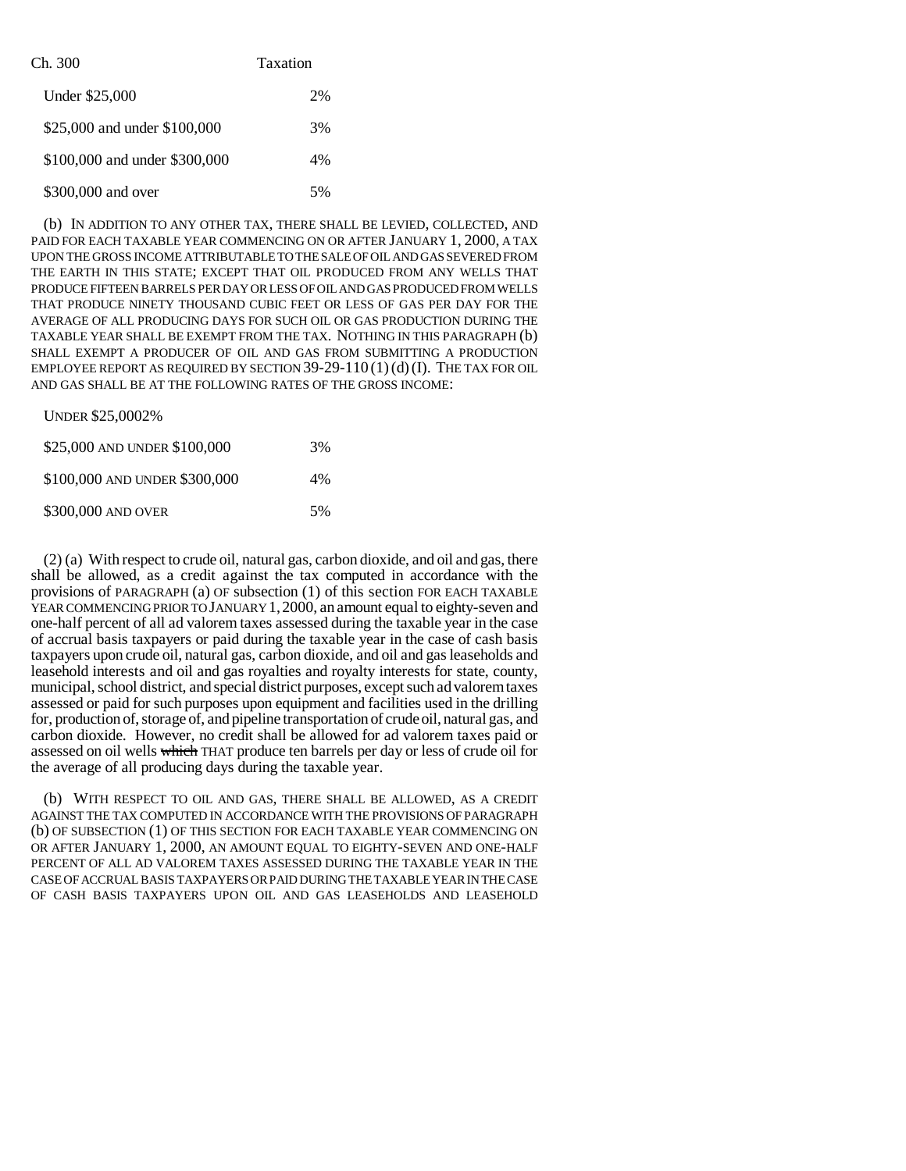| Ch. 300                       | Taxation |
|-------------------------------|----------|
| Under \$25,000                | 2%       |
| \$25,000 and under \$100,000  | 3%       |
| \$100,000 and under \$300,000 | 4%       |
| \$300,000 and over            | 5%       |

(b) IN ADDITION TO ANY OTHER TAX, THERE SHALL BE LEVIED, COLLECTED, AND PAID FOR EACH TAXABLE YEAR COMMENCING ON OR AFTER JANUARY 1, 2000, A TAX UPON THE GROSS INCOME ATTRIBUTABLE TO THE SALE OF OIL AND GAS SEVERED FROM THE EARTH IN THIS STATE; EXCEPT THAT OIL PRODUCED FROM ANY WELLS THAT PRODUCE FIFTEEN BARRELS PER DAY OR LESS OF OIL AND GAS PRODUCED FROM WELLS THAT PRODUCE NINETY THOUSAND CUBIC FEET OR LESS OF GAS PER DAY FOR THE AVERAGE OF ALL PRODUCING DAYS FOR SUCH OIL OR GAS PRODUCTION DURING THE TAXABLE YEAR SHALL BE EXEMPT FROM THE TAX. NOTHING IN THIS PARAGRAPH (b) SHALL EXEMPT A PRODUCER OF OIL AND GAS FROM SUBMITTING A PRODUCTION EMPLOYEE REPORT AS REQUIRED BY SECTION  $39-29-110(1)(d)(I)$ . THE TAX FOR OIL AND GAS SHALL BE AT THE FOLLOWING RATES OF THE GROSS INCOME:

| <b>UNDER \$25,0002%</b>       |       |
|-------------------------------|-------|
| \$25,000 AND UNDER \$100,000  | 3%    |
| \$100,000 AND UNDER \$300,000 | $4\%$ |
| \$300,000 AND OVER            | .5%   |

(2) (a) With respect to crude oil, natural gas, carbon dioxide, and oil and gas, there shall be allowed, as a credit against the tax computed in accordance with the provisions of PARAGRAPH (a) OF subsection (1) of this section FOR EACH TAXABLE YEAR COMMENCING PRIOR TO JANUARY 1,2000, an amount equal to eighty-seven and one-half percent of all ad valorem taxes assessed during the taxable year in the case of accrual basis taxpayers or paid during the taxable year in the case of cash basis taxpayers upon crude oil, natural gas, carbon dioxide, and oil and gas leaseholds and leasehold interests and oil and gas royalties and royalty interests for state, county, municipal, school district, and special district purposes, except such ad valorem taxes assessed or paid for such purposes upon equipment and facilities used in the drilling for, production of, storage of, and pipeline transportation of crude oil, natural gas, and carbon dioxide. However, no credit shall be allowed for ad valorem taxes paid or assessed on oil wells which THAT produce ten barrels per day or less of crude oil for the average of all producing days during the taxable year.

(b) WITH RESPECT TO OIL AND GAS, THERE SHALL BE ALLOWED, AS A CREDIT AGAINST THE TAX COMPUTED IN ACCORDANCE WITH THE PROVISIONS OF PARAGRAPH (b) OF SUBSECTION (1) OF THIS SECTION FOR EACH TAXABLE YEAR COMMENCING ON OR AFTER JANUARY 1, 2000, AN AMOUNT EQUAL TO EIGHTY-SEVEN AND ONE-HALF PERCENT OF ALL AD VALOREM TAXES ASSESSED DURING THE TAXABLE YEAR IN THE CASE OF ACCRUAL BASIS TAXPAYERS OR PAID DURING THE TAXABLE YEAR IN THE CASE OF CASH BASIS TAXPAYERS UPON OIL AND GAS LEASEHOLDS AND LEASEHOLD